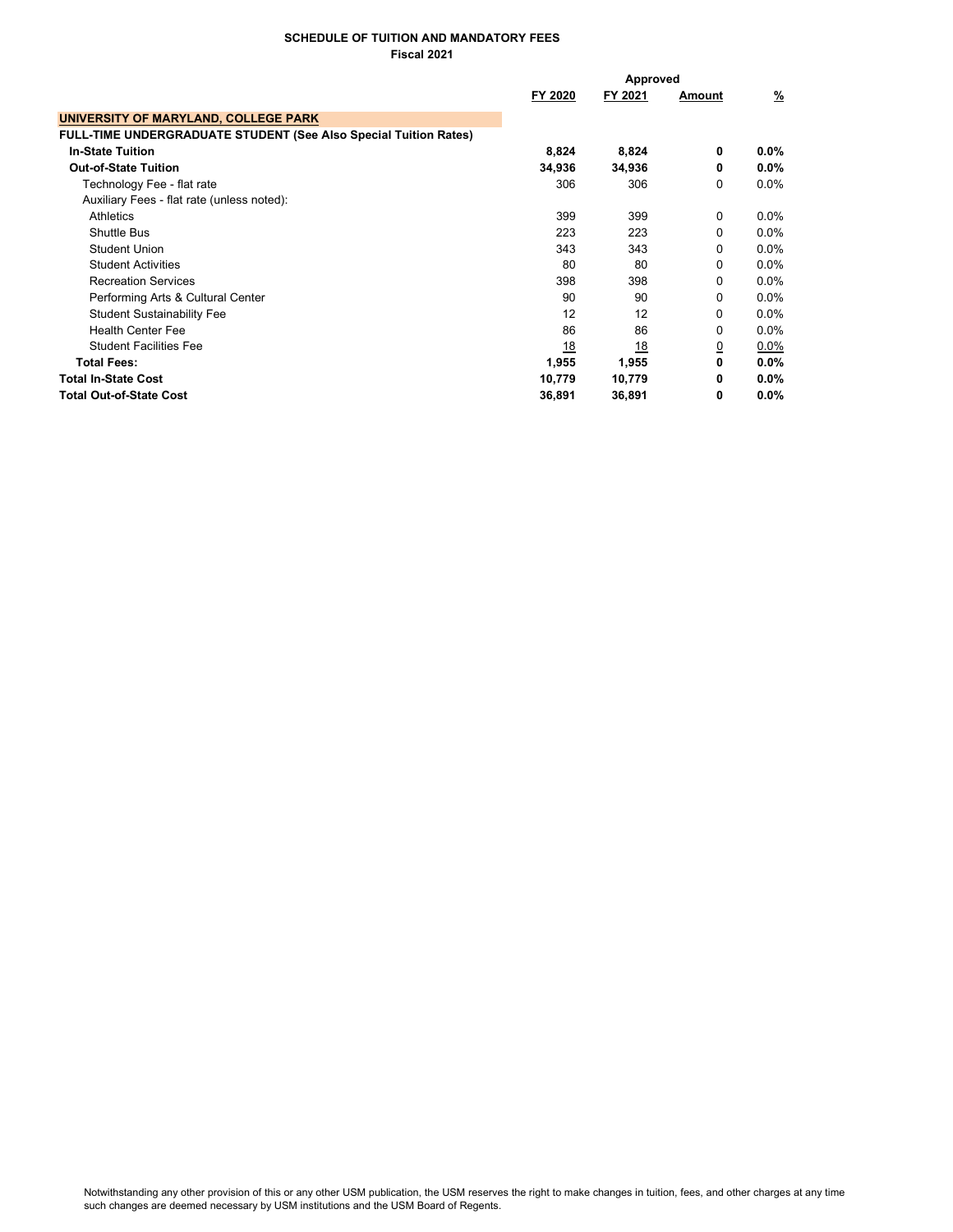|                                                                         | Approved  |         |             |         |
|-------------------------------------------------------------------------|-----------|---------|-------------|---------|
|                                                                         | FY 2020   | FY 2021 | Amount      | %       |
| UNIVERSITY OF MARYLAND, COLLEGE PARK                                    |           |         |             |         |
| <b>FULL-TIME UNDERGRADUATE STUDENT (See Also Special Tuition Rates)</b> |           |         |             |         |
| <b>In-State Tuition</b>                                                 | 8,824     | 8,824   | 0           | $0.0\%$ |
| <b>Out-of-State Tuition</b>                                             | 34,936    | 34,936  | 0           | $0.0\%$ |
| Technology Fee - flat rate                                              | 306       | 306     | $\Omega$    | $0.0\%$ |
| Auxiliary Fees - flat rate (unless noted):                              |           |         |             |         |
| Athletics                                                               | 399       | 399     | $\mathbf 0$ | $0.0\%$ |
| <b>Shuttle Bus</b>                                                      | 223       | 223     | 0           | $0.0\%$ |
| <b>Student Union</b>                                                    | 343       | 343     | $\Omega$    | $0.0\%$ |
| <b>Student Activities</b>                                               | 80        | 80      | $\Omega$    | $0.0\%$ |
| <b>Recreation Services</b>                                              | 398       | 398     | $\Omega$    | 0.0%    |
| Performing Arts & Cultural Center                                       | 90        | 90      | $\Omega$    | $0.0\%$ |
| <b>Student Sustainability Fee</b>                                       | 12        | 12      | $\Omega$    | $0.0\%$ |
| <b>Health Center Fee</b>                                                | 86        | 86      | $\Omega$    | $0.0\%$ |
| <b>Student Facilities Fee</b>                                           | <u>18</u> | 18      | <u>0</u>    | 0.0%    |
| <b>Total Fees:</b>                                                      | 1,955     | 1,955   | 0           | 0.0%    |
| <b>Total In-State Cost</b>                                              | 10,779    | 10,779  | 0           | $0.0\%$ |
| <b>Total Out-of-State Cost</b>                                          | 36,891    | 36,891  | 0           | $0.0\%$ |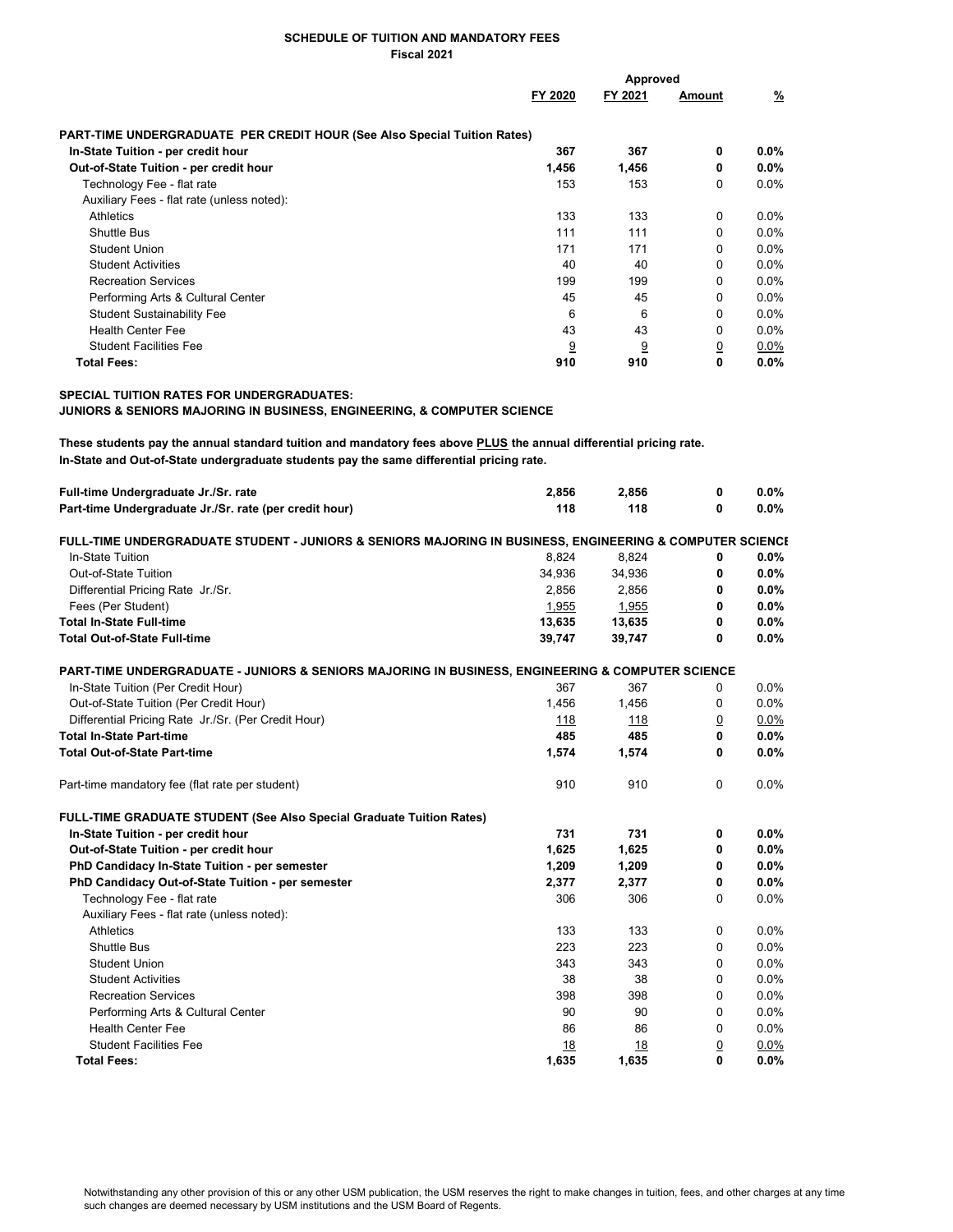|                                                                          | Approved |                |          |  |
|--------------------------------------------------------------------------|----------|----------------|----------|--|
| FY 2020                                                                  | FY 2021  | Amount         | <u>%</u> |  |
| PART-TIME UNDERGRADUATE PER CREDIT HOUR (See Also Special Tuition Rates) |          |                |          |  |
| 367                                                                      | 367      | 0              | $0.0\%$  |  |
| 1,456                                                                    | 1,456    | 0              | $0.0\%$  |  |
| 153                                                                      | 153      | 0              | $0.0\%$  |  |
|                                                                          |          |                |          |  |
| 133                                                                      | 133      | 0              | $0.0\%$  |  |
| 111                                                                      | 111      | 0              | $0.0\%$  |  |
| 171                                                                      | 171      | 0              | $0.0\%$  |  |
| 40                                                                       | 40       | 0              | $0.0\%$  |  |
| 199                                                                      | 199      | 0              | $0.0\%$  |  |
| 45                                                                       | 45       | 0              | $0.0\%$  |  |
| 6                                                                        | 6        | 0              | $0.0\%$  |  |
| 43                                                                       | 43       | $\Omega$       | $0.0\%$  |  |
| 9                                                                        | 9        | $\overline{0}$ | $0.0\%$  |  |
| 910                                                                      | 910      | 0              | $0.0\%$  |  |
|                                                                          |          |                |          |  |

### SPECIAL TUITION RATES FOR UNDERGRADUATES:

JUNIORS & SENIORS MAJORING IN BUSINESS, ENGINEERING, & COMPUTER SCIENCE

These students pay the annual standard tuition and mandatory fees above PLUS the annual differential pricing rate. In-State and Out-of-State undergraduate students pay the same differential pricing rate.

| Full-time Undergraduate Jr./Sr. rate                                                                     | 2,856  | 2,856  | 0        | 0.0%    |
|----------------------------------------------------------------------------------------------------------|--------|--------|----------|---------|
| Part-time Undergraduate Jr./Sr. rate (per credit hour)                                                   | 118    | 118    | 0        | 0.0%    |
| FULL-TIME UNDERGRADUATE STUDENT - JUNIORS & SENIORS MAJORING IN BUSINESS, ENGINEERING & COMPUTER SCIENCI |        |        |          |         |
| In-State Tuition                                                                                         | 8,824  | 8,824  | 0        | 0.0%    |
| Out-of-State Tuition                                                                                     | 34,936 | 34,936 | 0        | $0.0\%$ |
| Differential Pricing Rate Jr./Sr.                                                                        | 2,856  | 2,856  | 0        | 0.0%    |
| Fees (Per Student)                                                                                       | 1,955  | 1,955  | 0        | 0.0%    |
| <b>Total In-State Full-time</b>                                                                          | 13,635 | 13,635 | 0        | 0.0%    |
| <b>Total Out-of-State Full-time</b>                                                                      | 39,747 | 39,747 | 0        | 0.0%    |
| PART-TIME UNDERGRADUATE - JUNIORS & SENIORS MAJORING IN BUSINESS, ENGINEERING & COMPUTER SCIENCE         |        |        |          |         |
| In-State Tuition (Per Credit Hour)                                                                       | 367    | 367    | 0        | 0.0%    |
| Out-of-State Tuition (Per Credit Hour)                                                                   | 1,456  | 1,456  | 0        | 0.0%    |
| Differential Pricing Rate Jr./Sr. (Per Credit Hour)                                                      | 118    | 118    | <u>0</u> | 0.0%    |
| <b>Total In-State Part-time</b>                                                                          | 485    | 485    | 0        | 0.0%    |
| <b>Total Out-of-State Part-time</b>                                                                      | 1,574  | 1,574  | 0        | 0.0%    |
| Part-time mandatory fee (flat rate per student)                                                          | 910    | 910    | 0        | 0.0%    |
| <b>FULL-TIME GRADUATE STUDENT (See Also Special Graduate Tuition Rates)</b>                              |        |        |          |         |
| In-State Tuition - per credit hour                                                                       | 731    | 731    | 0        | 0.0%    |
| Out-of-State Tuition - per credit hour                                                                   | 1,625  | 1,625  | 0        | 0.0%    |
| PhD Candidacy In-State Tuition - per semester                                                            | 1,209  | 1,209  | 0        | 0.0%    |
| PhD Candidacy Out-of-State Tuition - per semester                                                        | 2,377  | 2,377  | 0        | 0.0%    |
| Technology Fee - flat rate                                                                               | 306    | 306    | 0        | 0.0%    |
| Auxiliary Fees - flat rate (unless noted):                                                               |        |        |          |         |
| Athletics                                                                                                | 133    | 133    | 0        | 0.0%    |
| <b>Shuttle Bus</b>                                                                                       | 223    | 223    | $\Omega$ | 0.0%    |
| <b>Student Union</b>                                                                                     | 343    | 343    | 0        | 0.0%    |
| <b>Student Activities</b>                                                                                | 38     | 38     | $\Omega$ | 0.0%    |
| <b>Recreation Services</b>                                                                               | 398    | 398    | 0        | 0.0%    |
| Performing Arts & Cultural Center                                                                        | 90     | 90     | $\Omega$ | 0.0%    |
| <b>Health Center Fee</b>                                                                                 | 86     | 86     | 0        | 0.0%    |
| <b>Student Facilities Fee</b>                                                                            | 18     | 18     | <u>0</u> | 0.0%    |
| <b>Total Fees:</b>                                                                                       | 1.635  | 1.635  | 0        | 0.0%    |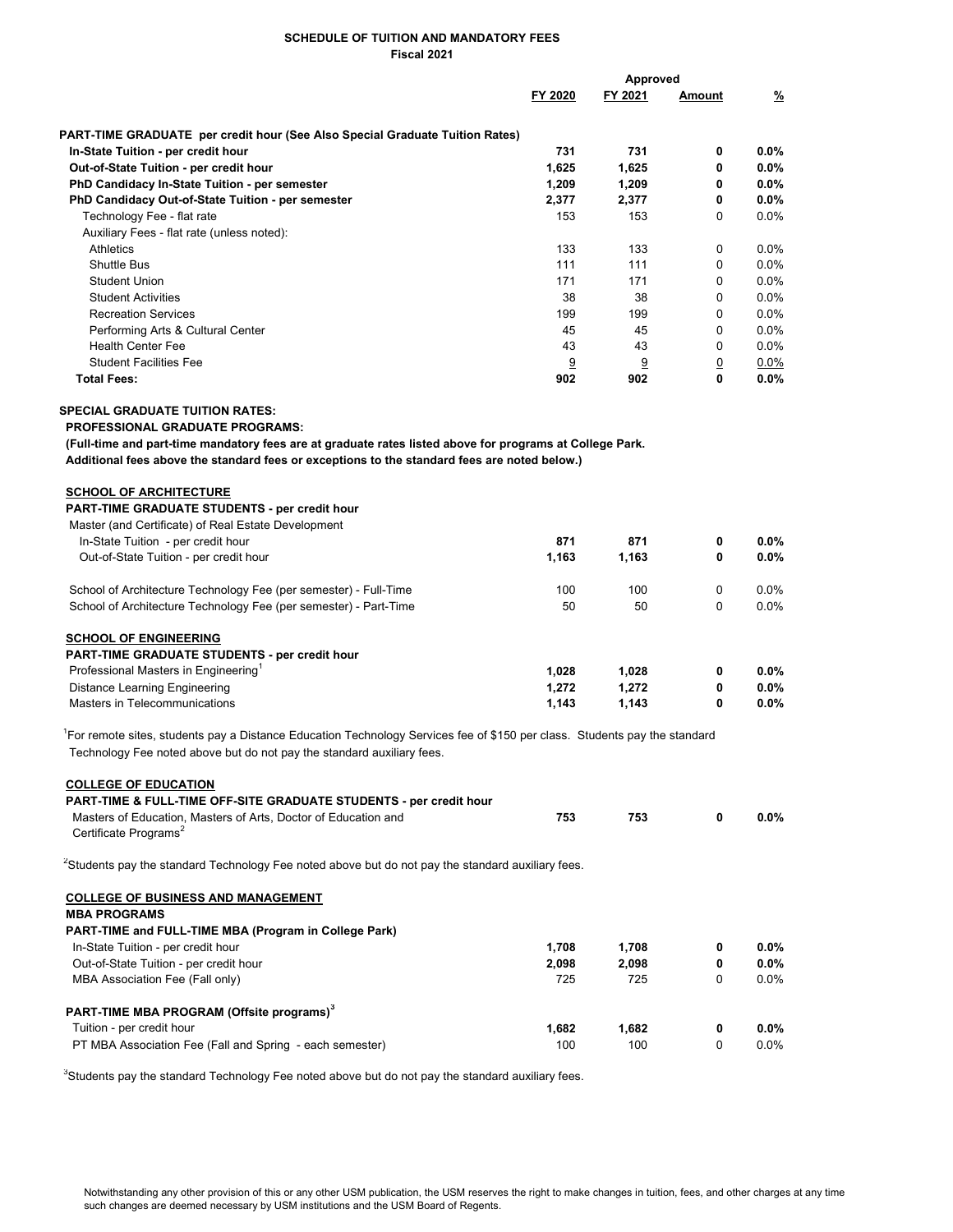|                                                                                                                                        | Approved |          |                |         |
|----------------------------------------------------------------------------------------------------------------------------------------|----------|----------|----------------|---------|
|                                                                                                                                        | FY 2020  | FY 2021  | Amount         | %       |
| PART-TIME GRADUATE per credit hour (See Also Special Graduate Tuition Rates)                                                           |          |          |                |         |
| In-State Tuition - per credit hour                                                                                                     | 731      | 731      | 0              | $0.0\%$ |
| Out-of-State Tuition - per credit hour                                                                                                 | 1,625    | 1,625    | 0              | $0.0\%$ |
| PhD Candidacy In-State Tuition - per semester                                                                                          | 1,209    | 1,209    | 0              | $0.0\%$ |
| PhD Candidacy Out-of-State Tuition - per semester                                                                                      | 2,377    | 2,377    | 0              | $0.0\%$ |
| Technology Fee - flat rate                                                                                                             | 153      | 153      | 0              | $0.0\%$ |
| Auxiliary Fees - flat rate (unless noted):                                                                                             |          |          |                |         |
| Athletics                                                                                                                              | 133      | 133      | 0              | $0.0\%$ |
| <b>Shuttle Bus</b>                                                                                                                     | 111      | 111      | 0              | 0.0%    |
| <b>Student Union</b>                                                                                                                   | 171      | 171      | $\Omega$       | 0.0%    |
|                                                                                                                                        |          |          |                |         |
| <b>Student Activities</b>                                                                                                              | 38       | 38       | 0              | 0.0%    |
| <b>Recreation Services</b>                                                                                                             | 199      | 199      | $\Omega$       | $0.0\%$ |
| Performing Arts & Cultural Center                                                                                                      | 45       | 45       | 0              | $0.0\%$ |
| <b>Health Center Fee</b>                                                                                                               | 43       | 43       | 0              | $0.0\%$ |
| <b>Student Facilities Fee</b>                                                                                                          | 9        | <u>9</u> | $\overline{0}$ | 0.0%    |
| <b>Total Fees:</b>                                                                                                                     | 902      | 902      | $\mathbf{0}$   | $0.0\%$ |
| <b>SPECIAL GRADUATE TUITION RATES:</b>                                                                                                 |          |          |                |         |
| <b>PROFESSIONAL GRADUATE PROGRAMS:</b>                                                                                                 |          |          |                |         |
| (Full-time and part-time mandatory fees are at graduate rates listed above for programs at College Park.                               |          |          |                |         |
| Additional fees above the standard fees or exceptions to the standard fees are noted below.)                                           |          |          |                |         |
| <b>SCHOOL OF ARCHITECTURE</b>                                                                                                          |          |          |                |         |
| <b>PART-TIME GRADUATE STUDENTS - per credit hour</b>                                                                                   |          |          |                |         |
| Master (and Certificate) of Real Estate Development                                                                                    |          |          |                |         |
| In-State Tuition - per credit hour                                                                                                     | 871      | 871      | 0              | $0.0\%$ |
| Out-of-State Tuition - per credit hour                                                                                                 | 1,163    | 1,163    | 0              | $0.0\%$ |
|                                                                                                                                        |          |          |                |         |
| School of Architecture Technology Fee (per semester) - Full-Time                                                                       | 100      | 100      | 0              | $0.0\%$ |
| School of Architecture Technology Fee (per semester) - Part-Time                                                                       | 50       | 50       | 0              | 0.0%    |
|                                                                                                                                        |          |          |                |         |
| <b>SCHOOL OF ENGINEERING</b>                                                                                                           |          |          |                |         |
| PART-TIME GRADUATE STUDENTS - per credit hour                                                                                          |          |          |                |         |
| Professional Masters in Engineering <sup>1</sup>                                                                                       | 1,028    | 1,028    | 0              | $0.0\%$ |
| <b>Distance Learning Engineering</b>                                                                                                   | 1,272    | 1,272    | 0              | $0.0\%$ |
| Masters in Telecommunications                                                                                                          | 1,143    | 1,143    | 0              | $0.0\%$ |
| <sup>1</sup> For remote sites, students pay a Distance Education Technology Services fee of \$150 per class. Students pay the standard |          |          |                |         |
| Technology Fee noted above but do not pay the standard auxiliary fees.                                                                 |          |          |                |         |
| <b>COLLEGE OF EDUCATION</b>                                                                                                            |          |          |                |         |
| PART-TIME & FULL-TIME OFF-SITE GRADUATE STUDENTS - per credit hour                                                                     |          |          |                |         |
| Masters of Education, Masters of Arts, Doctor of Education and                                                                         | 753      | 753      | 0              | $0.0\%$ |
| Certificate Programs <sup>2</sup>                                                                                                      |          |          |                |         |
| <sup>2</sup> Students pay the standard Technology Fee noted above but do not pay the standard auxiliary fees.                          |          |          |                |         |
| <b>COLLEGE OF BUSINESS AND MANAGEMENT</b>                                                                                              |          |          |                |         |
| <b>MBA PROGRAMS</b>                                                                                                                    |          |          |                |         |
| PART-TIME and FULL-TIME MBA (Program in College Park)                                                                                  |          |          |                |         |
| In-State Tuition - per credit hour                                                                                                     | 1,708    | 1,708    | 0              | $0.0\%$ |
| Out-of-State Tuition - per credit hour                                                                                                 | 2,098    | 2,098    | 0              | 0.0%    |
| MBA Association Fee (Fall only)                                                                                                        | 725      | 725      | 0              | 0.0%    |
|                                                                                                                                        |          |          |                |         |
| PART-TIME MBA PROGRAM (Offsite programs) <sup>3</sup>                                                                                  |          |          |                |         |
| Tuition - per credit hour                                                                                                              | 1,682    | 1,682    | 0              | $0.0\%$ |
| PT MBA Association Fee (Fall and Spring - each semester)                                                                               | 100      | 100      | 0              | 0.0%    |
|                                                                                                                                        |          |          |                |         |

<sup>3</sup>Students pay the standard Technology Fee noted above but do not pay the standard auxiliary fees.